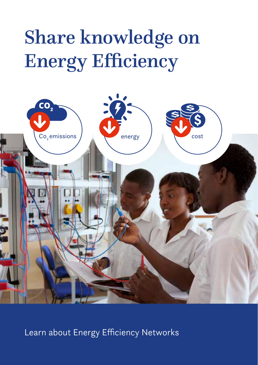# Share knowledge on Energy Efficiency



Learn about Energy Efficiency Networks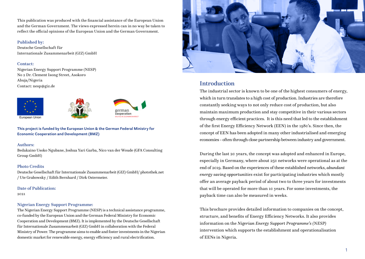This publication was produced with the financial assistance of the European Union and the German Government. The views expressed herein can in no way be taken to reflect the official opinions of the European Union and the German Government.

### Published by:

Deutsche Gesellschaft für Internationale Zusammenarbeit (GIZ) GmbH

#### Contact:

Nigerian Energy Support Programme (NESP) No 2 Dr. Clement Isong Street, Asokoro Abuja/Nigeria Contact: nesp@giz.de







**This project is funded by the European Union & the German Federal Ministry for Economic Cooperation and Development (BMZ)**

#### Authors:

Bedakaino Usoko Ngubane, Joshua Yari Garba, Nico van der Woude (GFA Consulting Group GmbH)

### Photo Credits

Deutsche Gesellschaft für Internationale Zusammenarbeit (GIZ) GmbH/ photothek.net / Ute Grabowsky / Edith Bernhard / Dirk Ostermeier.

Date of Publication:

2021

### Nigerian Energy Support Programme:

The Nigerian Energy Support Programme (NESP) is a technical assistance programme, co-funded by the European Union and the German Federal Ministry for Economic Cooperation and Development (BMZ). It is implemented by the Deutsche Gesellschaft für Internationale Zusammenarbeit (GIZ) GmbH in collaboration with the Federal Ministry of Power. The programme aims to enable and foster investments in the Nigerian domestic market for renewable energy, energy efficiency and rural electrification.



### Introduction

The industrial sector is known to be one of the highest consumers of energy, which in turn translates to a high cost of production. Industries are therefore constantly seeking ways to not only reduce cost of production, but also maintain maximum production and stay competitive in their various sectors through energy efficient practices. It is this need that led to the establishment of the first Energy Efficiency Network (EEN) in the 1980's. Since then, the concept of EEN has been adopted in many other industrialised and emerging economies - often through close partnership between industry and government.

During the last 20 years, the concept was adopted and enhanced in Europe, especially in Germany, where about 250 networks were operational as at the end of 2019. Based on the experiences of these established networks, *abundant energy saving opportunities* exist for participating industries which mostly offer an average payback period of about two to three years for investments that will be operated for more than 10 years. For some investments, the payback time can also be measured in weeks.

This brochure provides detailed information to companies on the concept, structure, and benefits of Energy Efficiency Networks. It also provides information on the *Nigerian Energy Support Programme's (NESP)* intervention which supports the establishment and operationalisation of EENs in Nigeria.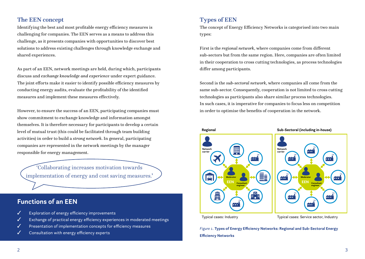## The EEN concept

Identifying the best and most profitable energy efficiency measures is challenging for companies. The EEN serves as a means to address this challenge, as it presents companies with opportunities to discover best solutions to address existing challenges through knowledge exchange and shared experiences.

As part of an EEN, network meetings are held, during which, participants discuss and *exchange knowledge and experience* under expert guidance. The joint efforts make it easier to identify possible efficiency measures by conducting energy audits, evaluate the profitability of the identified measures and implement these measures effectively.

However, to ensure the success of an EEN, participating companies must show commitment to exchange knowledge and information amongst themselves. It is therefore necessary for participants to develop a certain level of mutual trust (this could be facilitated through team building activities) in order to build a *strong network*. In general, participating companies are represented in the network meetings by the manager responsible for energy management.

'Collaborating increases motivation towards implementation of energy and cost saving measures.'

## **Functions of an EEN**

- ✓ Exploration of energy efficiency improvements
- Exchange of practical energy efficiency experiences in moderated meetings
- Presentation of implementation concepts for efficiency measures
- Consultation with energy efficiency experts

### Types of EEN

The concept of Energy Efficiency Networks is categorised into two main types:

First is the *regional network*, where companies come from different sub-sectors but from the same region. Here, companies are often limited in their cooperation to cross cutting technologies, as process technologies differ among participants.

Second is the *sub-sectoral network*, where companies all come from the same sub-sector. Consequently, cooperation is not limited to cross cutting technologies as participants also share similar process technologies. In such cases, it is imperative for companies to focus less on competition in order to optimise the benefits of cooperation in the network.



*Figure 1.* **Types of Energy Efficiency Networks: Regional and Sub-Sectoral Energy Efficiency Networks**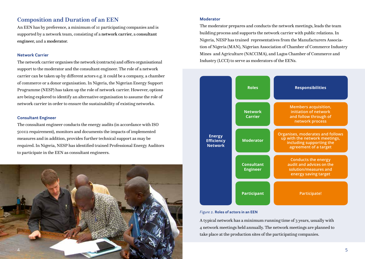### Composition and Duration of an EEN

An EEN has by preference, a minimum of 10 participating companies and is supported by a network team, consisting of a network carrier, a consultant engineer, and a moderator.

#### **Network Carrier**

The network carrier organises the network (contracts) and offers organisational support to the moderator and the consultant engineer. The role of a network carrier can be taken up by different actors e.g. it could be a company, a chamber of commerce or a donor organisation. In Nigeria, the Nigerian Energy Support Programme (NESP) has taken up the role of network carrier. However, options are being explored to identify an alternative organisation to assume the role of network carrier in order to ensure the sustainability of existing networks.

#### **Consultant Engineer**

The consultant engineer conducts the energy audits (in accordance with ISO 50002 requirement), monitors and documents the impacts of implemented measures and in addition, provides further technical support as may be required. In Nigeria, NESP has identified trained Professional Energy Auditors to participate in the EEN as consultant engineers.



#### **Moderator**

The moderator prepares and conducts the network meetings, leads the team building process and supports the network carrier with public relations. In Nigeria, NESP has trained representatives from the Manufacturers Association of Nigeria (MAN), Nigerian Association of Chamber of Commerce Industry Mines and Agriculture (NACCIMA), and Lagos Chamber of Commerce and Industry (LCCI) to serve as moderators of the EENs.



#### *Figure 2.* **Roles of actors in an EEN**

A typical network has a minimum running time of 3 years, usually with 4 network meetings held annually. The network meetings are planned to take place at the production sites of the participating companies.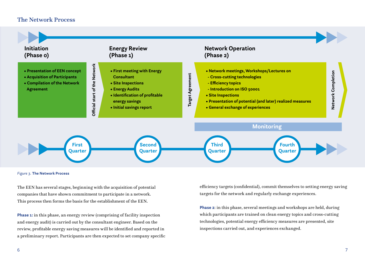### The Network Process



#### *Figure 3.* **The Network Process**

The EEN has several stages, beginning with the acquisition of potential companies that have shown commitment to participate in a network. This process then forms the basis for the establishment of the EEN.

**Phase 1:** in this phase, an energy review (comprising of facility inspection and energy audit) is carried out by the consultant engineer. Based on the review, profitable energy saving measures will be identified and reported in a preliminary report. Participants are then expected to set company specific efficiency targets (confidential), commit themselves to setting energy saving targets for the network and regularly exchange experiences.

**Phase 2**: in this phase, several meetings and workshops are held, during which participants are trained on clean energy topics and cross-cutting technologies, potential energy efficiency measures are presented, site inspections carried out, and experiences exchanged.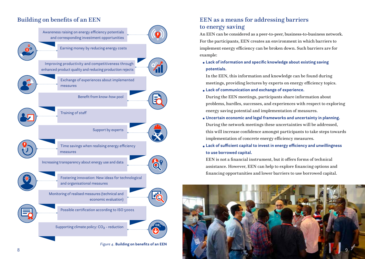

### Building on benefits of an EEN EEN EEN as a means for addressing barriers to energy saving

An EEN can be considered as a peer-to-peer, business-to-business network. For the participants, EEN creates an environment in which barriers to implement energy efficiency can be broken down. Such barriers are for example:

• **Lack of information and specific knowledge about existing saving potentials.**

 In the EEN, this information and knowledge can be found during meetings, providing lectures by experts on energy efficiency topics.

- **Lack of communication and exchange of experience.**
- During the EEN meetings, participants share information about problems, hurdles, successes, and experiences with respect to exploring energy saving potential and implementation of measures.
- **Uncertain economic and legal frameworks and uncertainty in planning.** During the network meetings these uncertainties will be addressed, this will increase confidence amongst participants to take steps towards implementation of concrete energy efficiency measures.
- **Lack of sufficient capital to invest in energy efficiency and unwillingness to use borrowed capital.**

 EEN is not a financial instrument, but it offers forms of technical assistance. However, EEN can help to explore financing options and financing opportunities and lower barriers to use borrowed capital.

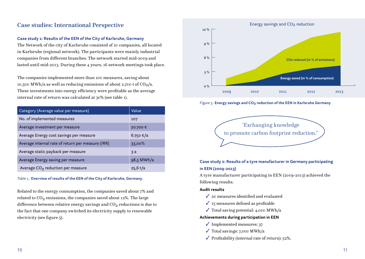### Case studies: International Perspective

### **Case study 1: Results of the EEN of the City of Karlsruhe, Germany**

The Network of the city of Karlsruhe consisted of 10 companies, all located in Karlsruhe (regional network). The participants were mainly industrial companies from different branches. The network started mid-2009 and lasted until mid-2013. During these 4 years, 16 network meetings took place.

The companies implemented more than 100 measures, saving about 10,500 MWh/a as well as reducing emissions of about 2,700 t of  $CO_2/a$ . These investments into energy efficiency were profitable as the average internal rate of return was calculated at 30% (see table 1).

| Category (Average value per measure)              | Value        |
|---------------------------------------------------|--------------|
| No. of implemented measures                       | 107          |
| Average investment per measure                    | 20.700€      |
| Average Energy cost savings per measure           | 6.750 €/a    |
| Average internal rate of return per measure (IRR) | 33,00%       |
| Average static payback per measure                | $\mathbf{a}$ |
| Average Energy saving per measure                 | 98,5 MWh/a   |
| Average CO <sub>2</sub> reduction per measure     | $25,6$ t/a   |

#### *Table 1.* **Overview of results of the EEN of the City of Karlsruhe, Germany.**

Related to the energy consumption, the companies saved about 7% and related to  $CO<sub>2</sub>$  emissions, the companies saved about 12%. The large difference between relative energy savings and  $CO<sub>2</sub>$  reductions is due to the fact that one company switched its electricity supply to renewable electricity (see figure 5).



*Figure 5.* **Energy savings and CO2 reduction of the EEN in Karlsruhe Germany**



### **Case study 2: Results of a tyre manufacturer in Germany participating in EEN (2009-2013)**

A tyre manufacturer participating in EEN (2009-2013) achieved the following results.

#### **Audit results**

- $\angle$  20 measures identified and evaluated
- $\checkmark$  15 measures defined as profitable
- $\checkmark$  Total saving potential: 4,000 MWh/a

### **Achievements during participation in EEN**

- ✓ Implemented measures: 37
- $\checkmark$  Total savings: 7,000 MWh/a
- $\checkmark$  Profitability (internal rate of return): 52%.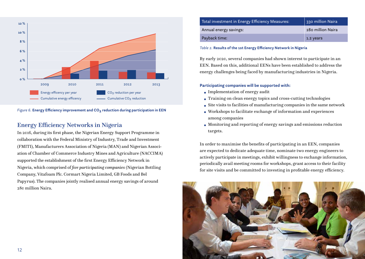



### Energy Efficiency Networks in Nigeria

In 2016, during its first phase, the Nigerian Energy Support Programme in collaboration with the Federal Ministry of Industry, Trade and Investment (FMITI), Manufacturers Association of Nigeria (MAN) and Nigerian Association of Chamber of Commerce Industry Mines and Agriculture (NACCIMA) supported the establishment of the first Energy Efficiency Network in Nigeria, which comprised of *five participating companies* (Nigerian Bottling Company, Vitafoam Plc. Cormart Nigeria Limited, GB Foods and Bel Papyrus). The companies jointly realised annual energy savings of around 280 million Naira.

| Total investment in Energy Efficiency Measures: | 330 million Naira |
|-------------------------------------------------|-------------------|
| Annual energy savings:                          | 280 million Naira |
| Payback time:                                   | 1.2 years         |

*Table 2.* **Results of the 1st Energy Efficiency Network in Nigeria**

By early 2020, several companies had shown interest to participate in an EEN. Based on this, additional EENs have been established to address the energy challenges being faced by manufacturing industries in Nigeria.

### **Participating companies will be supported with:**

- Implementation of energy audit
- Training on clean energy topics and cross-cutting technologies
- Site visits to facilities of manufacturing companies in the same network
- Workshops to facilitate exchange of information and experiences among companies
- Monitoring and reporting of energy savings and emissions reduction targets.

In order to maximise the benefits of participating in an EEN, companies are expected to dedicate adequate time, nominate two energy engineers to actively participate in meetings, exhibit willingness to exchange information, periodically avail meeting rooms for workshops, grant access to their facility for site visits and be committed to investing in profitable energy efficiency.